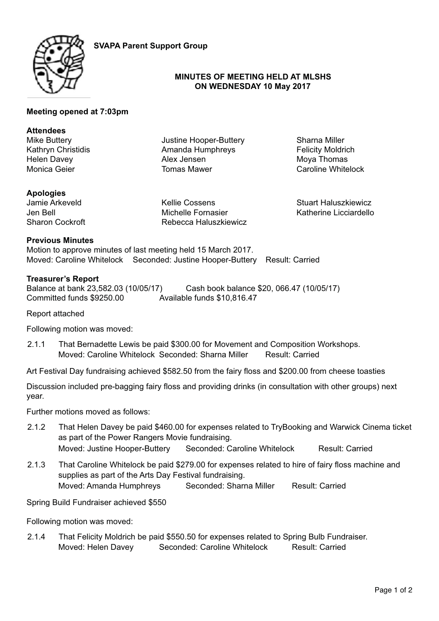

**SVAPA Parent Support Group**

# **MINUTES OF MEETING HELD AT MLSHS ON WEDNESDAY 10 May 2017**

## **Meeting opened at 7:03pm**

#### **Attendees**

Mike Buttery Kathryn Christidis Helen Davey Monica Geier

Justine Hooper-Buttery Amanda Humphreys Alex Jensen Tomas Mawer

Sharna Miller Felicity Moldrich Moya Thomas Caroline Whitelock

# **Apologies**

Jamie Arkeveld Jen Bell Sharon Cockroft Kellie Cossens Michelle Fornasier Rebecca Haluszkiewicz Stuart Haluszkiewicz Katherine Licciardello

# **Previous Minutes**

Motion to approve minutes of last meeting held 15 March 2017. Moved: Caroline Whitelock Seconded: Justine Hooper-Buttery Result: Carried

## **Treasurer's Report**

Balance at bank 23,582.03 (10/05/17) Cash book balance \$20, 066.47 (10/05/17) Committed funds \$9250.00 Available funds \$10,816.47

Report attached

Following motion was moved:

2.1.1 That Bernadette Lewis be paid \$300.00 for Movement and Composition Workshops. Moved: Caroline Whitelock Seconded: Sharna Miller Result: Carried

Art Festival Day fundraising achieved \$582.50 from the fairy floss and \$200.00 from cheese toasties

Discussion included pre-bagging fairy floss and providing drinks (in consultation with other groups) next year.

Further motions moved as follows:

- 2.1.2 That Helen Davey be paid \$460.00 for expenses related to TryBooking and Warwick Cinema ticket as part of the Power Rangers Movie fundraising. Moved: Justine Hooper-Buttery Seconded: Caroline Whitelock Result: Carried
- 2.1.3 That Caroline Whitelock be paid \$279.00 for expenses related to hire of fairy floss machine and supplies as part of the Arts Day Festival fundraising. Moved: Amanda Humphreys Seconded: Sharna Miller Result: Carried

Spring Build Fundraiser achieved \$550

Following motion was moved:

2.1.4 That Felicity Moldrich be paid \$550.50 for expenses related to Spring Bulb Fundraiser. Moved: Helen Davey Seconded: Caroline Whitelock Result: Carried